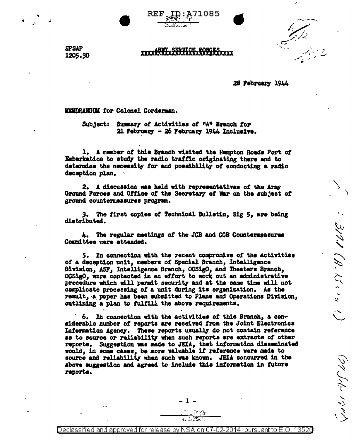71085

319.1 (A. 15 + + +

**SPSAP** 1205.30

28 February 1944

MEMORANDUM for Colonel Corderman.

Summary of Activities of "A" Branch for Subject: 21 February - 26 February 1944 Inclusive.

**REF** 

1. A member of this Branch visited the Hampton Roads Port of Embarkation to study the radio traffic originating there and to determine the necessity for and posaibility of conducting a radio deception plan.

2. A discussion was held with representatives of the Aray Ground Forces and Office of the Secretary of War on the subject of ground countermeasures program.

3. The first copies of Technical Bulletin, Sig 5, are being distributed.

4. The regular meetings of the JCB and CCB Countermeasures Committee were attended.

5. In connection with the recent compromise of the activities of a deception unit, members of Special Branch, Intelligence Division. ASF. Intelligence Branch. OCSigO. and Theaters Branch. OCSigO, were contacted in an effort to work out an administrative procedure which will permit security and at the same time will not complicate processing of a unit during its organization. As the result, a paper has been submitted to Plans and Operations Division. outlining a plan to fulfill the above requirements.

6. In connection with the activities of this Branch, a considerable number of reports are received from the Joint Electronics Information Agency. These reports usually do not contain reference as to source or reliability when such reports are extracts of other reports. Suggestion was made to JEIA, that information disseminated would, in some cases, be more valuable if reference were made to source and reliability when such was known. JEIA concurred in the above suggestion and agreed to include this information in future reports.